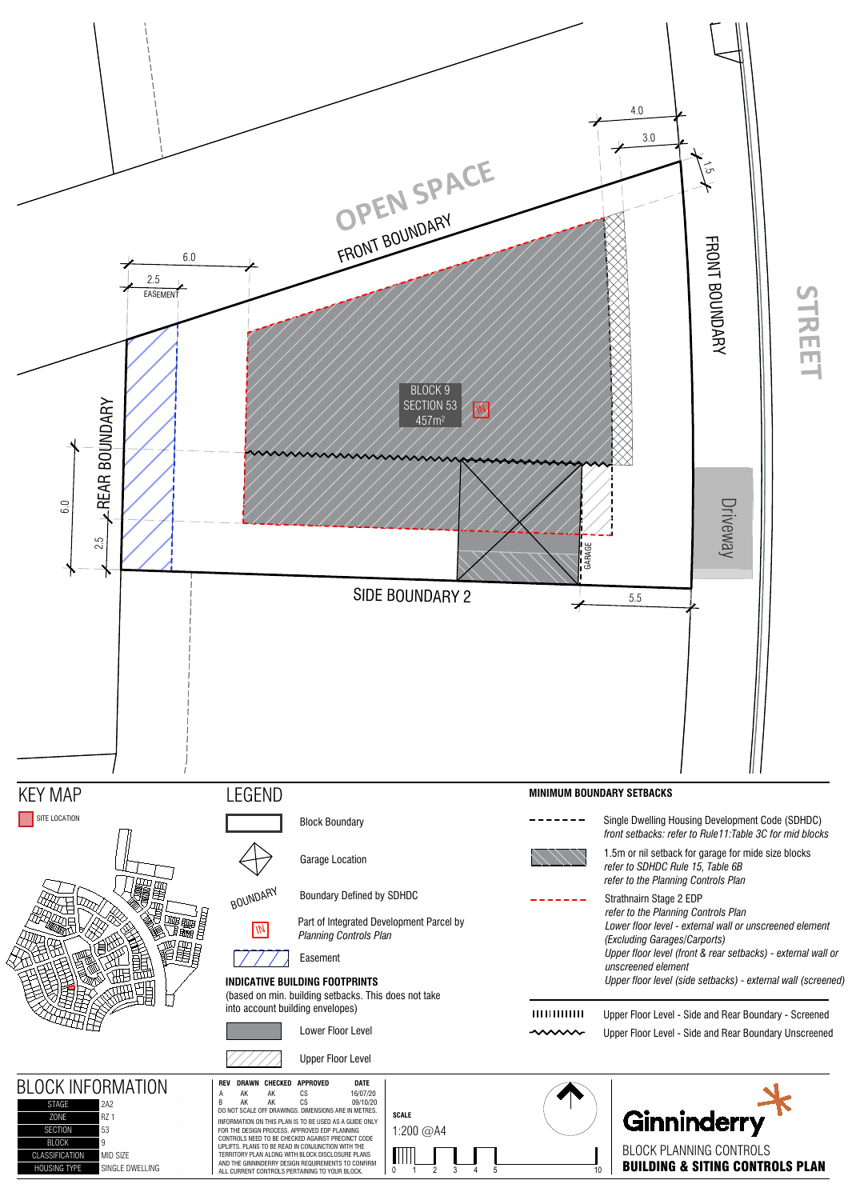